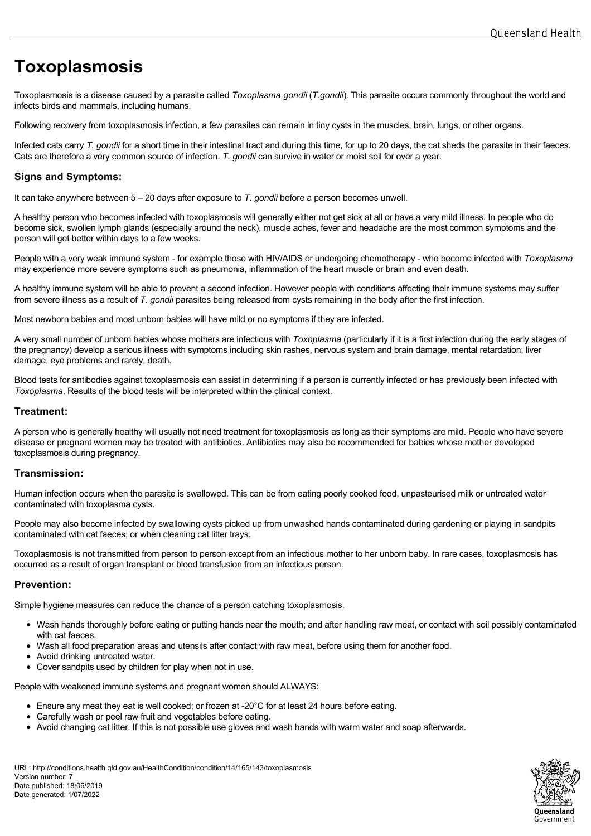# **Toxoplasmosis**

Toxoplasmosis is a disease caused by a parasite called *Toxoplasma gondii* (*T.gondii*). This parasite occurs commonly throughout the world and infects birds and mammals, including humans.

Following recovery from toxoplasmosis infection, a few parasites can remain in tiny cysts in the muscles, brain, lungs, or other organs.

Infected cats carry *T. gondii* for a short time in their intestinal tract and during this time, for up to 20 days, the cat sheds the parasite in their faeces. Cats are therefore a very common source of infection. *T. gondii* can survive in water or moist soil for over a year.

## **Signs and Symptoms:**

It can take anywhere between 5 – 20 days after exposure to *T. gondii* before a person becomes unwell.

A healthy person who becomes infected with toxoplasmosis will generally either not get sick at all or have a very mild illness. In people who do become sick, swollen lymph glands (especially around the neck), muscle aches, fever and headache are the most common symptoms and the person will get better within days to a few weeks.

People with a very weak immune system - for example those with HIV/AIDS or undergoing chemotherapy - who become infected with *Toxoplasma* may experience more severe symptoms such as pneumonia, inflammation of the heart muscle or brain and even death.

A healthy immune system will be able to prevent a second infection. However people with conditions affecting their immune systems may suffer from severe illness as a result of *T. gondii* parasites being released from cysts remaining in the body after the first infection.

Most newborn babies and most unborn babies will have mild or no symptoms if they are infected.

A very small number of unborn babies whose mothers are infectious with *Toxoplasma* (particularly if it is a first infection during the early stages of the pregnancy) develop a serious illness with symptoms including skin rashes, nervous system and brain damage, mental retardation, liver damage, eye problems and rarely, death.

Blood tests for antibodies against toxoplasmosis can assist in determining if a person is currently infected or has previously been infected with *Toxoplasma*. Results of the blood tests will be interpreted within the clinical context.

## **Treatment:**

A person who is generally healthy will usually not need treatment for toxoplasmosis as long as their symptoms are mild. People who have severe disease or pregnant women may be treated with antibiotics. Antibiotics may also be recommended for babies whose mother developed toxoplasmosis during pregnancy.

## **Transmission:**

Human infection occurs when the parasite is swallowed. This can be from eating poorly cooked food, unpasteurised milk or untreated water contaminated with toxoplasma cysts.

People may also become infected by swallowing cysts picked up from unwashed hands contaminated during gardening or playing in sandpits contaminated with cat faeces; or when cleaning cat litter trays.

Toxoplasmosis is not transmitted from person to person except from an infectious mother to her unborn baby. In rare cases, toxoplasmosis has occurred as a result of organ transplant or blood transfusion from an infectious person.

## **Prevention:**

Simple hygiene measures can reduce the chance of a person catching toxoplasmosis.

- Wash hands thoroughly before eating or putting hands near the mouth; and after handling raw meat, or contact with soil possibly contaminated with cat faeces.
- Wash all food preparation areas and utensils after contact with raw meat, before using them for another food.
- Avoid drinking untreated water.
- Cover sandpits used by children for play when not in use.

People with weakened immune systems and pregnant women should ALWAYS:

- Ensure any meat they eat is well cooked; or frozen at -20°C for at least 24 hours before eating.
- Carefully wash or peel raw fruit and vegetables before eating.
- Avoid changing cat litter. If this is not possible use gloves and wash hands with warm water and soap afterwards.